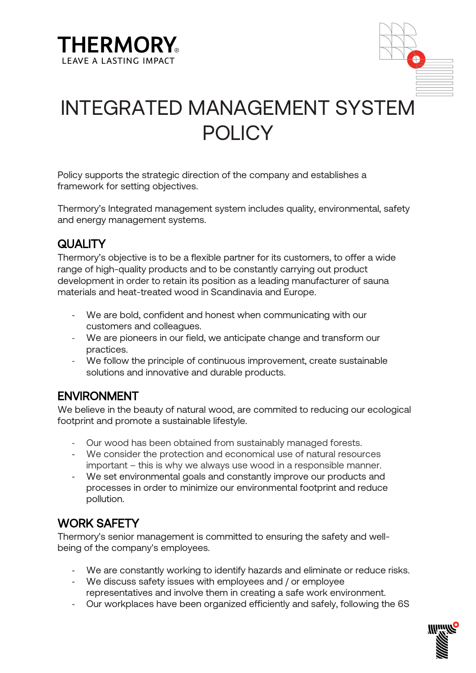



# INTEGRATED MANAGEMENT SYSTEM POLICY

Policy supports the strategic direction of the company and establishes a framework for setting objectives.

Thermory's Integrated management system includes quality, environmental, safety and energy management systems.

## **QUALITY**

Thermory's objective is to be a flexible partner for its customers, to offer a wide range of high-quality products and to be constantly carrying out product development in order to retain its position as a leading manufacturer of sauna materials and heat-treated wood in Scandinavia and Europe.

- We are bold, confident and honest when communicating with our customers and colleagues.
- We are pioneers in our field, we anticipate change and transform our practices.
- We follow the principle of continuous improvement, create sustainable solutions and innovative and durable products.

## ENVIRONMENT

We believe in the beauty of natural wood, are commited to reducing our ecological footprint and promote a sustainable lifestyle.

- Our wood has been obtained from sustainably managed forests.
- We consider the protection and economical use of natural resources important – this is why we always use wood in a responsible manner.
- We set environmental goals and constantly improve our products and processes in order to minimize our environmental footprint and reduce pollution.

## WORK SAFETY

Thermory's senior management is committed to ensuring the safety and wellbeing of the company's employees.

- We are constantly working to identify hazards and eliminate or reduce risks.
- We discuss safety issues with employees and / or employee representatives and involve them in creating a safe work environment.
- Our workplaces have been organized efficiently and safely, following the 6S